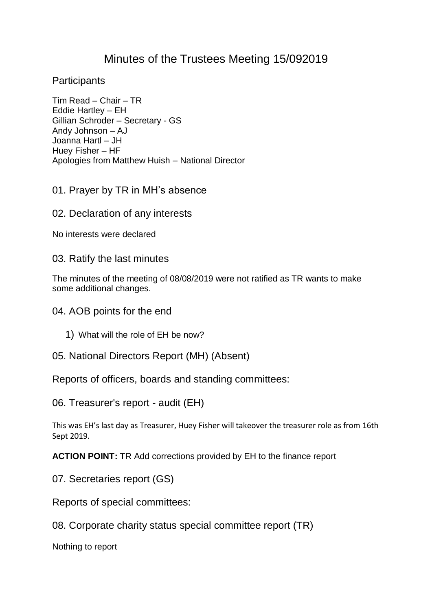## Minutes of the Trustees Meeting 15/092019

**Participants** 

Tim Read – Chair – TR Eddie Hartley – EH Gillian Schroder – Secretary - GS Andy Johnson – AJ Joanna Hartl – JH Huey Fisher – HF Apologies from Matthew Huish – National Director

01. Prayer by TR in MH's absence

02. Declaration of any interests

No interests were declared

03. Ratify the last minutes

The minutes of the meeting of 08/08/2019 were not ratified as TR wants to make some additional changes.

04. AOB points for the end

- 1) What will the role of EH be now?
- 05. National Directors Report (MH) (Absent)

Reports of officers, boards and standing committees:

06. Treasurer's report - audit (EH)

This was EH's last day as Treasurer, Huey Fisher will takeover the treasurer role as from 16th Sept 2019.

**ACTION POINT:** TR Add corrections provided by EH to the finance report

07. Secretaries report (GS)

Reports of special committees:

08. Corporate charity status special committee report (TR)

Nothing to report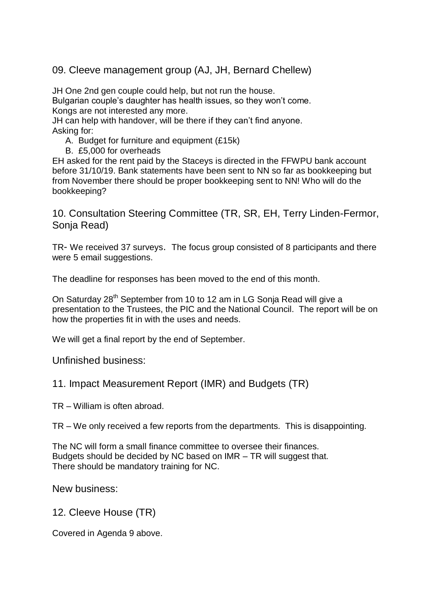09. Cleeve management group (AJ, JH, Bernard Chellew)

JH One 2nd gen couple could help, but not run the house.

Bulgarian couple's daughter has health issues, so they won't come. Kongs are not interested any more.

JH can help with handover, will be there if they can't find anyone. Asking for:

A. Budget for furniture and equipment (£15k)

B. £5,000 for overheads

EH asked for the rent paid by the Staceys is directed in the FFWPU bank account before 31/10/19. Bank statements have been sent to NN so far as bookkeeping but from November there should be proper bookkeeping sent to NN! Who will do the bookkeeping?

10. Consultation Steering Committee (TR, SR, EH, Terry Linden-Fermor, Sonja Read)

TR- We received 37 surveys. The focus group consisted of 8 participants and there were 5 email suggestions.

The deadline for responses has been moved to the end of this month.

On Saturday 28<sup>th</sup> September from 10 to 12 am in LG Sonia Read will give a presentation to the Trustees, the PIC and the National Council. The report will be on how the properties fit in with the uses and needs.

We will get a final report by the end of September.

Unfinished business:

11. Impact Measurement Report (IMR) and Budgets (TR)

TR – William is often abroad.

TR – We only received a few reports from the departments. This is disappointing.

The NC will form a small finance committee to oversee their finances. Budgets should be decided by NC based on IMR – TR will suggest that. There should be mandatory training for NC.

New business:

12. Cleeve House (TR)

Covered in Agenda 9 above.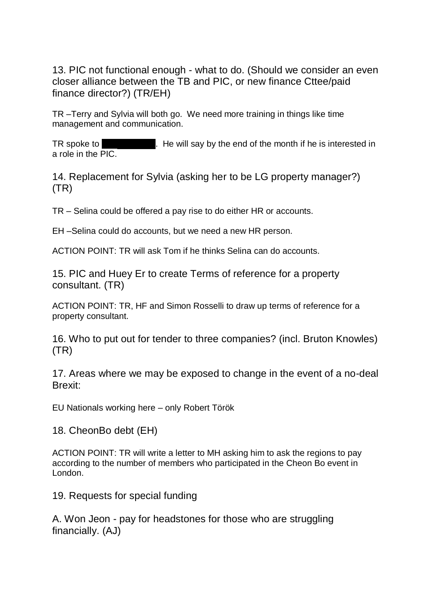13. PIC not functional enough - what to do. (Should we consider an even closer alliance between the TB and PIC, or new finance Cttee/paid finance director?) (TR/EH)

TR –Terry and Sylvia will both go. We need more training in things like time management and communication.

TR spoke to Ron Chandler. He will say by the end of the month if he is interested in a role in the PIC.

14. Replacement for Sylvia (asking her to be LG property manager?) (TR)

TR – Selina could be offered a pay rise to do either HR or accounts.

EH –Selina could do accounts, but we need a new HR person.

ACTION POINT: TR will ask Tom if he thinks Selina can do accounts.

15. PIC and Huey Er to create Terms of reference for a property consultant. (TR)

ACTION POINT: TR, HF and Simon Rosselli to draw up terms of reference for a property consultant.

16. Who to put out for tender to three companies? (incl. Bruton Knowles) (TR)

17. Areas where we may be exposed to change in the event of a no-deal Brexit:

EU Nationals working here – only Robert Török

18. CheonBo debt (EH)

ACTION POINT: TR will write a letter to MH asking him to ask the regions to pay according to the number of members who participated in the Cheon Bo event in London.

19. Requests for special funding

A. Won Jeon - pay for headstones for those who are struggling financially. (AJ)